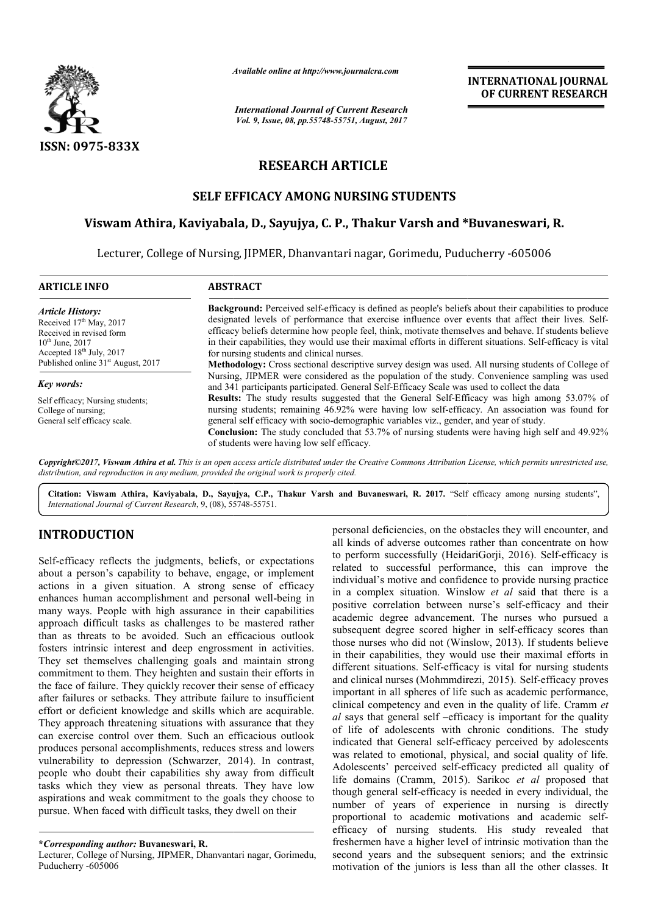

*Available online at http://www.journal http://www.journalcra.com*

*International Journal of Current Research Vol. 9, Issue, 08, pp.55748-55751, August, 2017*

# **RESEARCH ARTICLE**

## **SELF EFFICACY AMONG NURSING STUDENTS**

## **Viswam Athira, Kaviyabala Kaviyabala, D., Sayujya, C. P., Thakur Varsh and \* \*Buvaneswari, R.**

Lecturer, College of Nursing, JIPMER, Dhanvantari nagar, Gorimedu, Puducherry -605006

| <b>ARTICLE INFO</b>                                                                                                                                                                      | <b>ABSTRACT</b>                                                                                                                                                                                                                                                                                                                                                                                                                                                                                                                                                                                   |  |  |  |
|------------------------------------------------------------------------------------------------------------------------------------------------------------------------------------------|---------------------------------------------------------------------------------------------------------------------------------------------------------------------------------------------------------------------------------------------------------------------------------------------------------------------------------------------------------------------------------------------------------------------------------------------------------------------------------------------------------------------------------------------------------------------------------------------------|--|--|--|
| <b>Article History:</b><br>Received $17th$ May, 2017<br>Received in revised form<br>$10^{th}$ June, 2017<br>Accepted $18th$ July, 2017<br>Published online 31 <sup>st</sup> August, 2017 | <b>Background:</b> Perceived self-efficacy is defined as people's beliefs about their capabilities to produce<br>designated levels of performance that exercise influence over events that affect their lives. Self-<br>efficacy beliefs determine how people feel, think, motivate themselves and behave. If students believe<br>in their capabilities, they would use their maximal efforts in different situations. Self-efficacy is vital<br>for nursing students and clinical nurses.<br>Methodology: Cross sectional descriptive survey design was used. All nursing students of College of |  |  |  |
| Key words:                                                                                                                                                                               | Nursing, JIPMER were considered as the population of the study. Convenience sampling was used<br>and 341 participants participated. General Self-Efficacy Scale was used to collect the data                                                                                                                                                                                                                                                                                                                                                                                                      |  |  |  |
| Self efficacy; Nursing students;<br>College of nursing:<br>General self efficacy scale.                                                                                                  | <b>Results:</b> The study results suggested that the General Self-Efficacy was high among 53.07% of<br>nursing students; remaining 46.92% were having low self-efficacy. An association was found for<br>general self efficacy with socio-demographic variables viz., gender, and year of study.<br><b>Conclusion:</b> The study concluded that 53.7% of nursing students were having high self and 49.92%<br>of students were having low self efficacy.                                                                                                                                          |  |  |  |

*Copyright©2017, Viswam Athira et al. This is an open access distribution, and reproduction in any medium, provided the original work is properly cited. article distributed under the Creative Commons Attribution License, which ribution License, which permits unrestricted use,* 

Citation: Viswam Athira, Kaviyabala, D., Sayujya, C.P., Thakur Varsh and Buvaneswari, R. 2017. "Self efficacy among nursing students", *International Journal of Current Research*, 9, (08), 55 55748-55751.

# **INTRODUCTION**

Self-efficacy reflects the judgments, beliefs, or expectations about a person's capability to behave, engage, or implement actions in a given situation. A strong sense of efficacy actions in a given situation. A strong sense of efficacy<br>enhances human accomplishment and personal well-being in many ways. People with high assurance in their capabilities approach difficult tasks as challenges to be mastered rather than as threats to be avoided. Such an efficacious outlook fosters intrinsic interest and deep engrossment in activities. They set themselves challenging goals and maintain strong commitment to them. They heighten and sustain their efforts in the face of failure. They quickly recover their sense of efficacy after failures or setbacks. They attribute failure to insufficient effort or deficient knowledge and skills which are acquirable. They approach threatening situations with assurance that they can exercise control over them. Such an efficacious outlook produces personal accomplishments, reduces stress and lowers commitment to them. They heighten and sustain their efforts in<br>the face of failure. They quickly recover their sense of efficacy<br>after failures or setbacks. They attribute failure to insufficient<br>effort or deficient knowle people who doubt their capabilities shy away from difficult tasks which they view as personal threats. They have low aspirations and weak commitment to the goals they choose to pursue. When faced with difficult tasks, they dwell on their

personal deficiencies, on the obstacles they will encounter, and<br>
als, beliefs, or expectations they alser they are the concentrate on how<br>
it kinds of adverse outcomes rather than concentrate on host<br>
strong sense of effi all kinds of adverse outcomes rather than concentrate on how personal deficiencies, on the obstacles they will encounter, and all kinds of adverse outcomes rather than concentrate on how to perform successfully (HeidariGorji, 2016). Self-efficacy is related to successful performance, this can improve the individual's motive and confidence to provide nursing practice individual's motive and confidence to provide nursing practice<br>in a complex situation. Winslow *et al* said that there is a positive correlation between nurse's self-efficacy and their academic degree advancement. The nurses who pursued a academic degree advancement. The nurses who pursued a subsequent degree scored higher in self-efficacy scores than those nurses who did not (Winslow, 2013). If students believe in their capabilities, they would use their maximal efforts in different situations. Self-efficacy is vital for nursing students in their capabilities, they would use their maximal efforts in different situations. Self-efficacy is vital for nursing students and clinical nurses (Mohmmdirezi, 2015). Self-efficacy proves important in all spheres of life such as academic performance, important in all spheres of life such as academic performance, clinical competency and even in the quality of life. Cramm *et al* says that general self –efficacy is important for the quality of life of adolescents with chronic conditions. The study indicated that General self-efficacy perceived by adolescents was related to emotional, physical, and social quality of life. Adolescents' perceived self-efficacy predicted all quality of life domains (Cramm, 2015). Sarikoc et al proposed that though general self-efficacy is needed in every individual, the number of years of experience in nursing is directly proportional to academic motivations and academic selfefficacy of nursing students. His study revealed that freshermen have a higher level of intrinsic motivation than the second years and the subsequent seniors; and the extrinsic motivation of the juniors is less than all the other classes. It ays that general self –efficacy is important for the quality<br>life of adolescents with chronic conditions. The study<br>icated that General self-efficacy perceived by adolescents<br>related to emotional, physical, and social qual In self-efficacy is needed in every individual, the years of experience in nursing is directly to academic motivations and academic selfefficacy of nursing students. His study revealed that freshermen have a higher level of intrinsic motivation than the second years and the subsequent seniors; and the extrinsic motivation of the juniors is less than all th

**<sup>\*</sup>***Corresponding author:* **Buvaneswari, R.**

Lecturer, College of Nursing, JIPMER, Dhanvantari nagar, Gorimedu, Puducherry -605006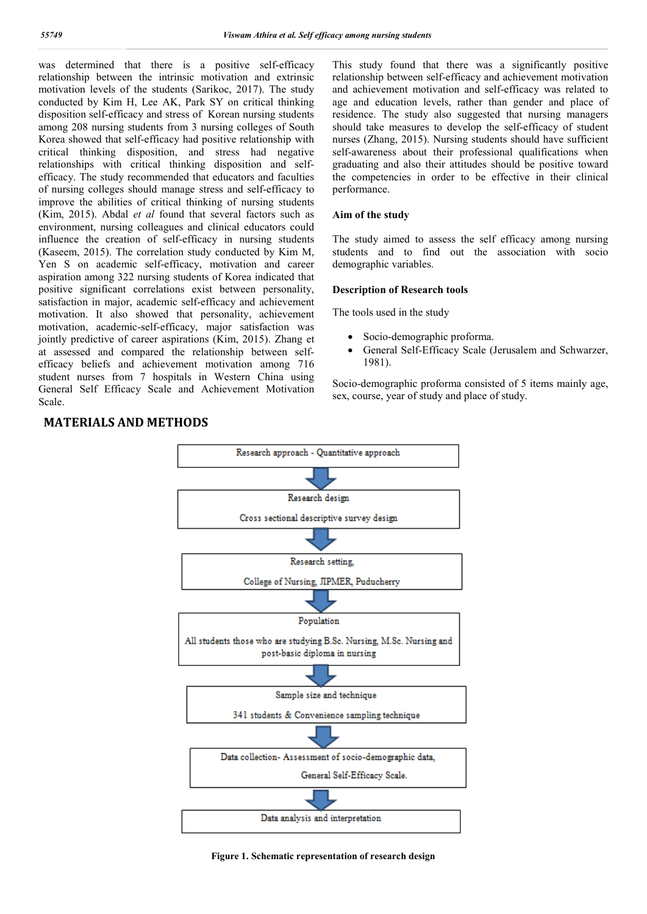was determined that there is a positive self-efficacy relationship between the intrinsic motivation and extrinsic motivation levels of the students (Sarikoc, 2017). The study conducted by Kim H, Lee AK, Park SY on critical thinking disposition self-efficacy and stress of Korean nursing students among 208 nursing students from 3 nursing colleges of South Korea showed that self-efficacy had positive relationship with critical thinking disposition, and stress had negative relationships with critical thinking disposition and selfefficacy. The study recommended that educators and faculties of nursing colleges should manage stress and self-efficacy to improve the abilities of critical thinking of nursing students (Kim, 2015). Abdal *et al* found that several factors such as environment, nursing colleagues and clinical educators could influence the creation of self-efficacy in nursing students (Kaseem, 2015). The correlation study conducted by Kim M, Yen S on academic self-efficacy, motivation and career aspiration among 322 nursing students of Korea indicated that positive significant correlations exist between personality, satisfaction in major, academic self-efficacy and achievement motivation. It also showed that personality, achievement motivation, academic-self-efficacy, major satisfaction was jointly predictive of career aspirations (Kim, 2015). Zhang et at assessed and compared the relationship between selfefficacy beliefs and achievement motivation among 716 student nurses from 7 hospitals in Western China using General Self Efficacy Scale and Achievement Motivation Scale.

This study found that there was a significantly positive relationship between self-efficacy and achievement motivation and achievement motivation and self-efficacy was related to age and education levels, rather than gender and place of residence. The study also suggested that nursing managers should take measures to develop the self-efficacy of student nurses (Zhang, 2015). Nursing students should have sufficient self-awareness about their professional qualifications when graduating and also their attitudes should be positive toward the competencies in order to be effective in their clinical performance.

#### **Aim of the study**

The study aimed to assess the self efficacy among nursing students and to find out the association with socio demographic variables.

#### **Description of Research tools**

The tools used in the study

- Socio-demographic proforma.
- General Self-Efficacy Scale (Jerusalem and Schwarzer, 1981).

Socio-demographic proforma consisted of 5 items mainly age, sex, course, year of study and place of study.



### **MATERIALS AND METHODS**

**Figure 1. Schematic representation of research design**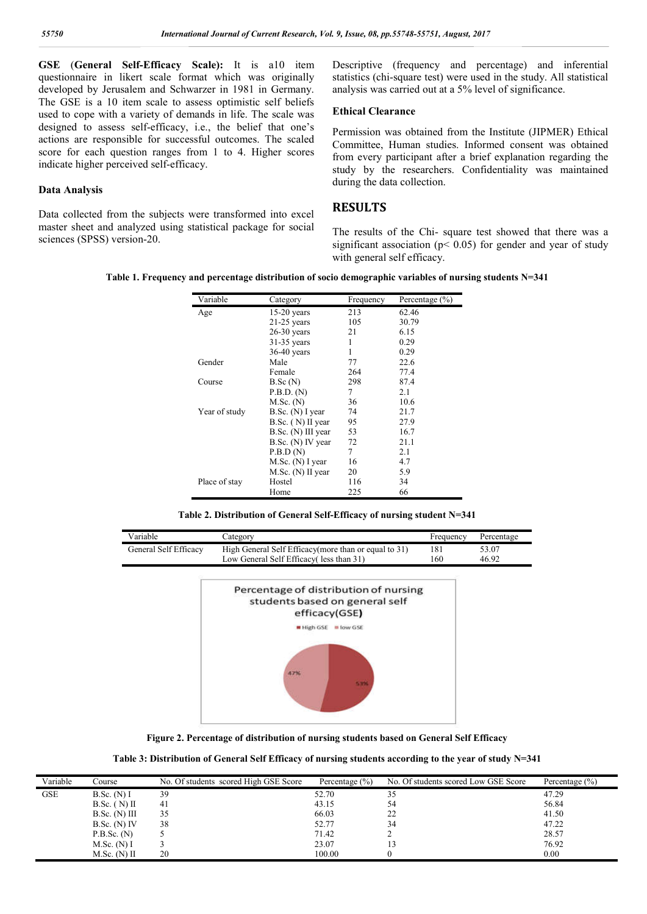**GSE** (**General Self-Efficacy Scale):** It is a10 item questionnaire in likert scale format which was originally developed by Jerusalem and Schwarzer in 1981 in Germany. The GSE is a 10 item scale to assess optimistic self beliefs used to cope with a variety of demands in life. The scale was designed to assess self-efficacy, i.e., the belief that one's actions are responsible for successful outcomes. The scaled score for each question ranges from 1 to 4. Higher scores indicate higher perceived self-efficacy.

#### **Data Analysis**

Data collected from the subjects were transformed into excel master sheet and analyzed using statistical package for social sciences (SPSS) version-20.

Descriptive (frequency and percentage) and inferential statistics (chi-square test) were used in the study. All statistical analysis was carried out at a 5% level of significance.

#### **Ethical Clearance**

Permission was obtained from the Institute (JIPMER) Ethical Committee, Human studies. Informed consent was obtained from every participant after a brief explanation regarding the study by the researchers. Confidentiality was maintained during the data collection.

## **RESULTS**

The results of the Chi- square test showed that there was a significant association ( $p$ < 0.05) for gender and year of study with general self efficacy.

**Table 1. Frequency and percentage distribution of socio demographic variables of nursing students N=341**

| Variable      | Category            | Frequency | Percentage $(\% )$ |
|---------------|---------------------|-----------|--------------------|
| Age           | $15-20$ years       | 213       | 62.46              |
|               | $21-25$ years       | 105       | 30.79              |
|               | $26-30$ years       | 21        | 6.15               |
|               | $31-35$ years       | 1         | 0.29               |
|               | $36-40$ years       | 1         | 0.29               |
| Gender        | Male                | 77        | 22.6               |
|               | Female              | 264       | 77.4               |
| Course        | B.Sc(N)             | 298       | 87.4               |
|               | P.B.D. (N)          | 7         | 2.1                |
|               | $M.Sc.$ (N)         | 36        | 10.6               |
| Year of study | B.Sc. (N) I year    | 74        | 21.7               |
|               | $B.Sc.$ (N) II year | 95        | 27.9               |
|               | B.Sc. (N) III year  | 53        | 16.7               |
|               | B.Sc. (N) IV year   | 72        | 21.1               |
|               | P.B.D(N)            | 7         | 2.1                |
|               | $M.Sc.$ (N) I year  | 16        | 4.7                |
|               | M.Sc. (N) II year   | 20        | 5.9                |
| Place of stay | Hostel              | 116       | 34                 |
|               | Home                | 225       | 66                 |

**Table 2. Distribution of General Self-Efficacy of nursing student N=341**

| Variable              | Category                                              | Frequency | Percentage |
|-----------------------|-------------------------------------------------------|-----------|------------|
| General Self Efficacv | High General Self Efficacy (more than or equal to 31) | 181       | 53.07      |
|                       | Low General Self Efficacy (less than 31)              | 160       | 46.92      |



**Figure 2. Percentage of distribution of nursing students based on General Self Efficacy**

| Table 3: Distribution of General Self Efficacy of nursing students according to the year of study N=341 |  |  |  |
|---------------------------------------------------------------------------------------------------------|--|--|--|
|---------------------------------------------------------------------------------------------------------|--|--|--|

| Variable | Course          | No. Of students scored High GSE Score | Percentage $(\% )$ | No. Of students scored Low GSE Score | Percentage $(\% )$ |
|----------|-----------------|---------------------------------------|--------------------|--------------------------------------|--------------------|
| GSE      | $B.Sc.$ (N) I   | 39                                    | 52.70              | 35                                   | 47.29              |
|          | $B.Sc.$ (N) II  | 41                                    | 43.15              | 54                                   | 56.84              |
|          | $B.Sc.$ (N) III | 35                                    | 66.03              | 22                                   | 41.50              |
|          | $B.Sc.$ (N) IV  | 38                                    | 52.77              | 34                                   | 47.22              |
|          | P.B.Sc. (N)     |                                       | 71.42              |                                      | 28.57              |
|          | M.Sc. (N) I     |                                       | 23.07              |                                      | 76.92              |
|          | $M.Sc.$ (N) II  | 20                                    | 100.00             |                                      | 0.00               |